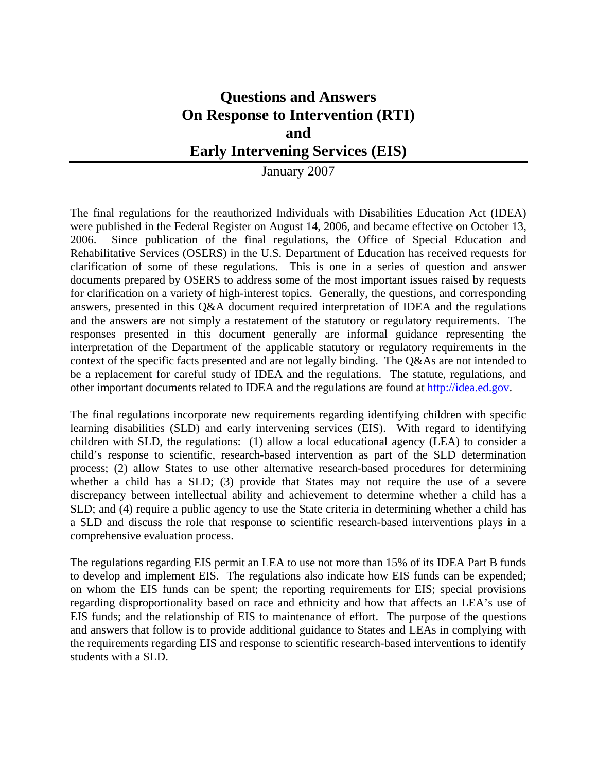# **Questions and Answers On Response to Intervention (RTI) and Early Intervening Services (EIS)**

January 2007

The final regulations for the reauthorized Individuals with Disabilities Education Act (IDEA) were published in the Federal Register on August 14, 2006, and became effective on October 13, 2006. Since publication of the final regulations, the Office of Special Education and Rehabilitative Services (OSERS) in the U.S. Department of Education has received requests for clarification of some of these regulations. This is one in a series of question and answer documents prepared by OSERS to address some of the most important issues raised by requests for clarification on a variety of high-interest topics. Generally, the questions, and corresponding answers, presented in this Q&A document required interpretation of IDEA and the regulations and the answers are not simply a restatement of the statutory or regulatory requirements. The responses presented in this document generally are informal guidance representing the interpretation of the Department of the applicable statutory or regulatory requirements in the context of the specific facts presented and are not legally binding. The Q&As are not intended to be a replacement for careful study of IDEA and the regulations. The statute, regulations, and other important documents related to IDEA and the regulations are found at [http://idea.ed.gov.](http://idea.ed.gov/)

The final regulations incorporate new requirements regarding identifying children with specific learning disabilities (SLD) and early intervening services (EIS). With regard to identifying children with SLD, the regulations: (1) allow a local educational agency (LEA) to consider a child's response to scientific, research-based intervention as part of the SLD determination process; (2) allow States to use other alternative research-based procedures for determining whether a child has a SLD; (3) provide that States may not require the use of a severe discrepancy between intellectual ability and achievement to determine whether a child has a SLD; and (4) require a public agency to use the State criteria in determining whether a child has a SLD and discuss the role that response to scientific research-based interventions plays in a comprehensive evaluation process.

The regulations regarding EIS permit an LEA to use not more than 15% of its IDEA Part B funds to develop and implement EIS. The regulations also indicate how EIS funds can be expended; on whom the EIS funds can be spent; the reporting requirements for EIS; special provisions regarding disproportionality based on race and ethnicity and how that affects an LEA's use of EIS funds; and the relationship of EIS to maintenance of effort. The purpose of the questions and answers that follow is to provide additional guidance to States and LEAs in complying with the requirements regarding EIS and response to scientific research-based interventions to identify students with a SLD.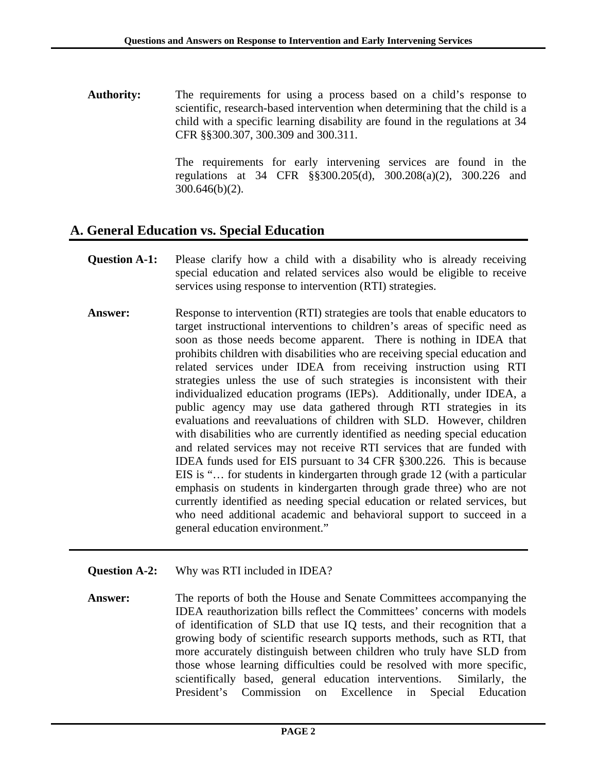**Authority:** The requirements for using a process based on a child's response to scientific, research-based intervention when determining that the child is a child with a specific learning disability are found in the regulations at 34 CFR §§300.307, 300.309 and 300.311.

> The requirements for early intervening services are found in the regulations at 34 CFR §§300.205(d), 300.208(a)(2), 300.226 and 300.646(b)(2).

### **A. General Education vs. Special Education**

- **Question A-1:** Please clarify how a child with a disability who is already receiving special education and related services also would be eligible to receive services using response to intervention (RTI) strategies.
- **Answer:** Response to intervention (RTI) strategies are tools that enable educators to target instructional interventions to children's areas of specific need as soon as those needs become apparent. There is nothing in IDEA that prohibits children with disabilities who are receiving special education and related services under IDEA from receiving instruction using RTI strategies unless the use of such strategies is inconsistent with their individualized education programs (IEPs). Additionally, under IDEA, a public agency may use data gathered through RTI strategies in its evaluations and reevaluations of children with SLD. However, children with disabilities who are currently identified as needing special education and related services may not receive RTI services that are funded with IDEA funds used for EIS pursuant to 34 CFR §300.226. This is because EIS is "… for students in kindergarten through grade 12 (with a particular emphasis on students in kindergarten through grade three) who are not currently identified as needing special education or related services, but who need additional academic and behavioral support to succeed in a general education environment."
- **Question A-2:** Why was RTI included in IDEA?
- **Answer:** The reports of both the House and Senate Committees accompanying the IDEA reauthorization bills reflect the Committees' concerns with models of identification of SLD that use IQ tests, and their recognition that a growing body of scientific research supports methods, such as RTI, that more accurately distinguish between children who truly have SLD from those whose learning difficulties could be resolved with more specific, scientifically based, general education interventions. Similarly, the President's Commission on Excellence in Special Education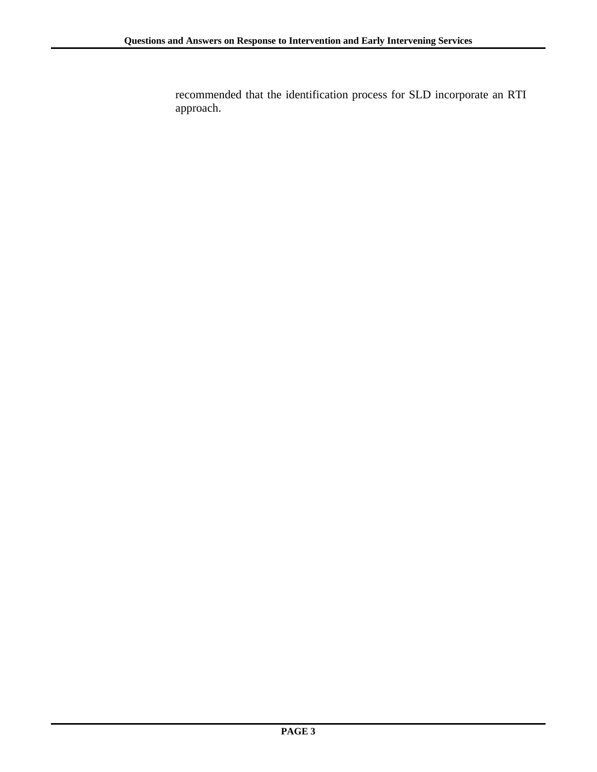recommended that the identification process for SLD incorporate an RTI approach.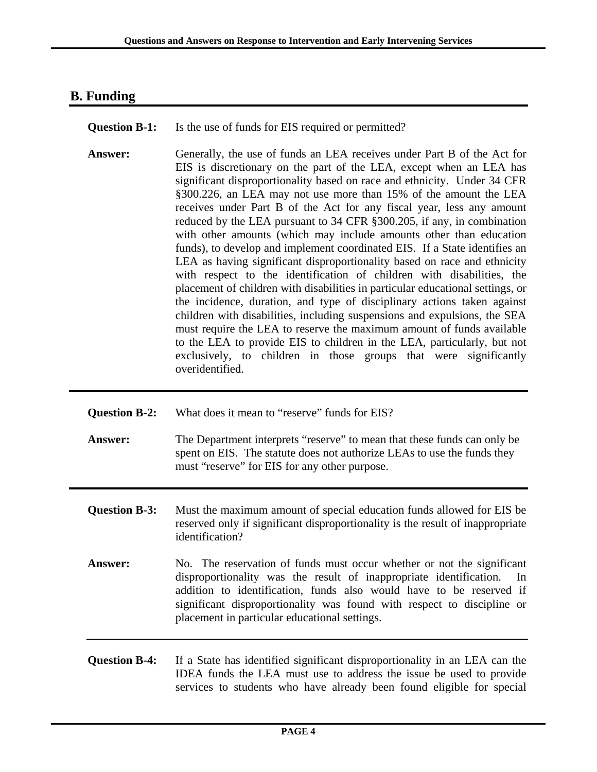## **B. Funding**

**Question B-1:** Is the use of funds for EIS required or permitted?

**Answer:** Generally, the use of funds an LEA receives under Part B of the Act for EIS is discretionary on the part of the LEA, except when an LEA has significant disproportionality based on race and ethnicity. Under 34 CFR §300.226, an LEA may not use more than 15% of the amount the LEA receives under Part B of the Act for any fiscal year, less any amount reduced by the LEA pursuant to 34 CFR §300.205, if any, in combination with other amounts (which may include amounts other than education funds), to develop and implement coordinated EIS. If a State identifies an LEA as having significant disproportionality based on race and ethnicity with respect to the identification of children with disabilities, the placement of children with disabilities in particular educational settings, or the incidence, duration, and type of disciplinary actions taken against children with disabilities, including suspensions and expulsions, the SEA must require the LEA to reserve the maximum amount of funds available to the LEA to provide EIS to children in the LEA, particularly, but not exclusively, to children in those groups that were significantly overidentified.

| <b>Question B-2:</b> | What does it mean to "reserve" funds for EIS?                                                                                                                                                                                                                                                                                                        |
|----------------------|------------------------------------------------------------------------------------------------------------------------------------------------------------------------------------------------------------------------------------------------------------------------------------------------------------------------------------------------------|
| <b>Answer:</b>       | The Department interprets "reserve" to mean that these funds can only be<br>spent on EIS. The statute does not authorize LEAs to use the funds they<br>must "reserve" for EIS for any other purpose.                                                                                                                                                 |
| <b>Question B-3:</b> | Must the maximum amount of special education funds allowed for EIS be<br>reserved only if significant disproportionality is the result of inappropriate<br>identification?                                                                                                                                                                           |
| <b>Answer:</b>       | No. The reservation of funds must occur whether or not the significant<br>disproportionality was the result of inappropriate identification.<br>In<br>addition to identification, funds also would have to be reserved if<br>significant disproportionality was found with respect to discipline or<br>placement in particular educational settings. |
| <b>Question B-4:</b> | If a State has identified significant disproportionality in an LEA can the                                                                                                                                                                                                                                                                           |

IDEA funds the LEA must use to address the issue be used to provide services to students who have already been found eligible for special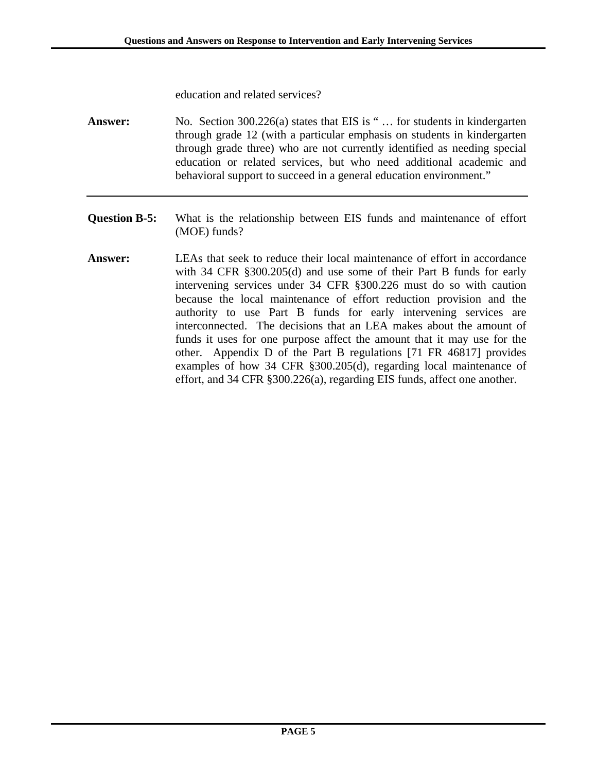education and related services?

**Answer:** No. Section 300.226(a) states that EIS is " … for students in kindergarten through grade 12 (with a particular emphasis on students in kindergarten through grade three) who are not currently identified as needing special education or related services, but who need additional academic and behavioral support to succeed in a general education environment."

- **Question B-5:** What is the relationship between EIS funds and maintenance of effort (MOE) funds?
- **Answer:** LEAs that seek to reduce their local maintenance of effort in accordance with 34 CFR §300.205(d) and use some of their Part B funds for early intervening services under 34 CFR §300.226 must do so with caution because the local maintenance of effort reduction provision and the authority to use Part B funds for early intervening services are interconnected. The decisions that an LEA makes about the amount of funds it uses for one purpose affect the amount that it may use for the other. Appendix D of the Part B regulations [71 FR 46817] provides examples of how 34 CFR §300.205(d), regarding local maintenance of effort, and 34 CFR §300.226(a), regarding EIS funds, affect one another.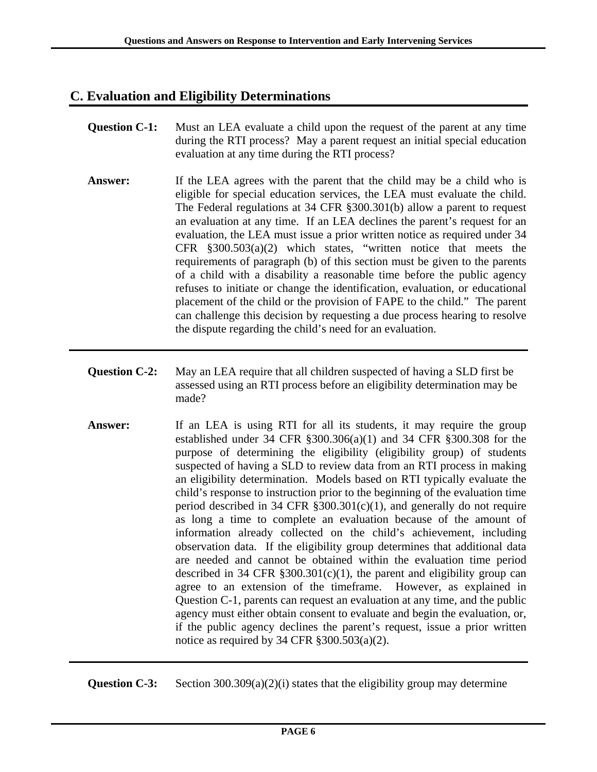## **C. Evaluation and Eligibility Determinations**

- **Question C-1:** Must an LEA evaluate a child upon the request of the parent at any time during the RTI process? May a parent request an initial special education evaluation at any time during the RTI process?
- **Answer:** If the LEA agrees with the parent that the child may be a child who is eligible for special education services, the LEA must evaluate the child. The Federal regulations at 34 CFR §300.301(b) allow a parent to request an evaluation at any time. If an LEA declines the parent's request for an evaluation, the LEA must issue a prior written notice as required under 34 CFR §300.503(a)(2) which states, "written notice that meets the requirements of paragraph (b) of this section must be given to the parents of a child with a disability a reasonable time before the public agency refuses to initiate or change the identification, evaluation, or educational placement of the child or the provision of FAPE to the child." The parent can challenge this decision by requesting a due process hearing to resolve the dispute regarding the child's need for an evaluation.
- **Question C-2:** May an LEA require that all children suspected of having a SLD first be assessed using an RTI process before an eligibility determination may be made?
- **Answer:** If an LEA is using RTI for all its students, it may require the group established under 34 CFR §300.306(a)(1) and 34 CFR §300.308 for the purpose of determining the eligibility (eligibility group) of students suspected of having a SLD to review data from an RTI process in making an eligibility determination. Models based on RTI typically evaluate the child's response to instruction prior to the beginning of the evaluation time period described in 34 CFR  $\S 300.301(c)(1)$ , and generally do not require as long a time to complete an evaluation because of the amount of information already collected on the child's achievement, including observation data. If the eligibility group determines that additional data are needed and cannot be obtained within the evaluation time period described in 34 CFR  $\S 300.301(c)(1)$ , the parent and eligibility group can agree to an extension of the timeframe. However, as explained in Question C-1, parents can request an evaluation at any time, and the public agency must either obtain consent to evaluate and begin the evaluation, or, if the public agency declines the parent's request, issue a prior written notice as required by 34 CFR  $\S 300.503(a)(2)$ .

**Question C-3:** Section 300.309(a)(2)(i) states that the eligibility group may determine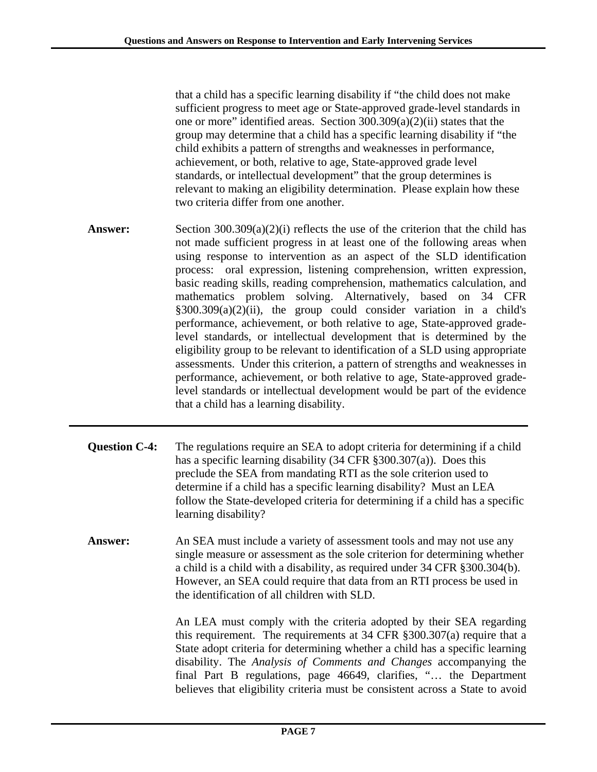that a child has a specific learning disability if "the child does not make sufficient progress to meet age or State-approved grade-level standards in one or more" identified areas. Section 300.309(a)(2)(ii) states that the group may determine that a child has a specific learning disability if "the child exhibits a pattern of strengths and weaknesses in performance, achievement, or both, relative to age, State-approved grade level standards, or intellectual development" that the group determines is relevant to making an eligibility determination. Please explain how these two criteria differ from one another.

- **Answer:** Section 300.309(a)(2)(i) reflects the use of the criterion that the child has not made sufficient progress in at least one of the following areas when using response to intervention as an aspect of the SLD identification process: oral expression, listening comprehension, written expression, basic reading skills, reading comprehension, mathematics calculation, and mathematics problem solving. Alternatively, based on 34 CFR §300.309(a)(2)(ii), the group could consider variation in a child's performance, achievement, or both relative to age, State-approved gradelevel standards, or intellectual development that is determined by the eligibility group to be relevant to identification of a SLD using appropriate assessments. Under this criterion, a pattern of strengths and weaknesses in performance, achievement, or both relative to age, State-approved gradelevel standards or intellectual development would be part of the evidence that a child has a learning disability.
- **Question C-4:** The regulations require an SEA to adopt criteria for determining if a child has a specific learning disability (34 CFR §300.307(a)). Does this preclude the SEA from mandating RTI as the sole criterion used to determine if a child has a specific learning disability? Must an LEA follow the State-developed criteria for determining if a child has a specific learning disability?
- Answer: An SEA must include a variety of assessment tools and may not use any single measure or assessment as the sole criterion for determining whether a child is a child with a disability, as required under 34 CFR §300.304(b). However, an SEA could require that data from an RTI process be used in the identification of all children with SLD.

 An LEA must comply with the criteria adopted by their SEA regarding this requirement. The requirements at 34 CFR §300.307(a) require that a State adopt criteria for determining whether a child has a specific learning disability. The *Analysis of Comments and Changes* accompanying the final Part B regulations, page 46649, clarifies, "… the Department believes that eligibility criteria must be consistent across a State to avoid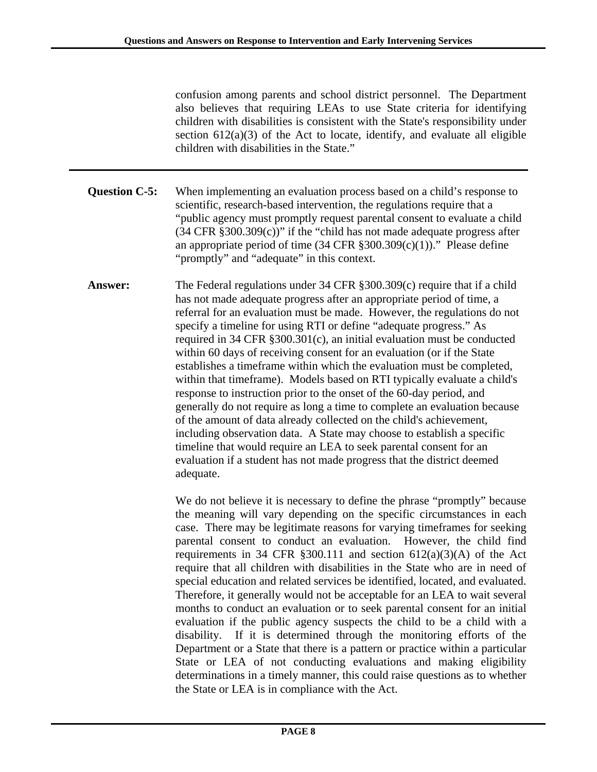confusion among parents and school district personnel. The Department also believes that requiring LEAs to use State criteria for identifying children with disabilities is consistent with the State's responsibility under section  $612(a)(3)$  of the Act to locate, identify, and evaluate all eligible children with disabilities in the State."

**Question C-5:** When implementing an evaluation process based on a child's response to scientific, research-based intervention, the regulations require that a "public agency must promptly request parental consent to evaluate a child  $(34 \text{ CFR } \text{\textdegree} 300.309(c))$ " if the "child has not made adequate progress after an appropriate period of time  $(34 \text{ CFR } \text{\textless} 300.309(c)(1))$ ." Please define "promptly" and "adequate" in this context.

**Answer:** The Federal regulations under 34 CFR §300.309(c) require that if a child has not made adequate progress after an appropriate period of time, a referral for an evaluation must be made. However, the regulations do not specify a timeline for using RTI or define "adequate progress." As required in 34 CFR §300.301(c), an initial evaluation must be conducted within 60 days of receiving consent for an evaluation (or if the State establishes a timeframe within which the evaluation must be completed, within that timeframe). Models based on RTI typically evaluate a child's response to instruction prior to the onset of the 60-day period, and generally do not require as long a time to complete an evaluation because of the amount of data already collected on the child's achievement, including observation data. A State may choose to establish a specific timeline that would require an LEA to seek parental consent for an evaluation if a student has not made progress that the district deemed adequate.

> We do not believe it is necessary to define the phrase "promptly" because the meaning will vary depending on the specific circumstances in each case. There may be legitimate reasons for varying timeframes for seeking parental consent to conduct an evaluation. However, the child find requirements in 34 CFR  $\S 300.111$  and section  $612(a)(3)(A)$  of the Act require that all children with disabilities in the State who are in need of special education and related services be identified, located, and evaluated. Therefore, it generally would not be acceptable for an LEA to wait several months to conduct an evaluation or to seek parental consent for an initial evaluation if the public agency suspects the child to be a child with a disability. If it is determined through the monitoring efforts of the Department or a State that there is a pattern or practice within a particular State or LEA of not conducting evaluations and making eligibility determinations in a timely manner, this could raise questions as to whether the State or LEA is in compliance with the Act.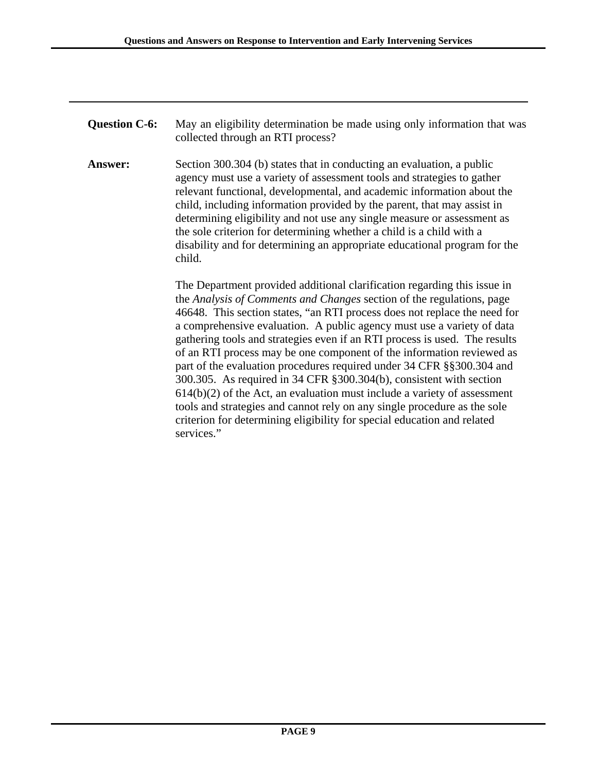**Question C-6:** May an eligibility determination be made using only information that was collected through an RTI process?

**Answer:** Section 300.304 (b) states that in conducting an evaluation, a public agency must use a variety of assessment tools and strategies to gather relevant functional, developmental, and academic information about the child, including information provided by the parent, that may assist in determining eligibility and not use any single measure or assessment as the sole criterion for determining whether a child is a child with a disability and for determining an appropriate educational program for the child.

> The Department provided additional clarification regarding this issue in the *Analysis of Comments and Changes* section of the regulations, page 46648. This section states, "an RTI process does not replace the need for a comprehensive evaluation. A public agency must use a variety of data gathering tools and strategies even if an RTI process is used. The results of an RTI process may be one component of the information reviewed as part of the evaluation procedures required under 34 CFR §§300.304 and 300.305. As required in 34 CFR §300.304(b), consistent with section  $614(b)(2)$  of the Act, an evaluation must include a variety of assessment tools and strategies and cannot rely on any single procedure as the sole criterion for determining eligibility for special education and related services."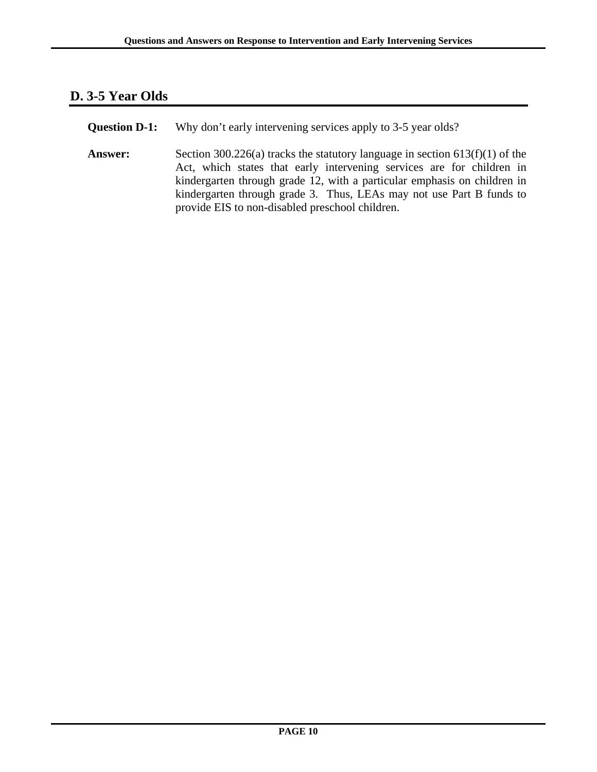### **D. 3-5 Year Olds**

**Question D-1:** Why don't early intervening services apply to 3-5 year olds?

Answer: Section 300.226(a) tracks the statutory language in section 613(f)(1) of the Act, which states that early intervening services are for children in kindergarten through grade 12, with a particular emphasis on children in kindergarten through grade 3. Thus, LEAs may not use Part B funds to provide EIS to non-disabled preschool children.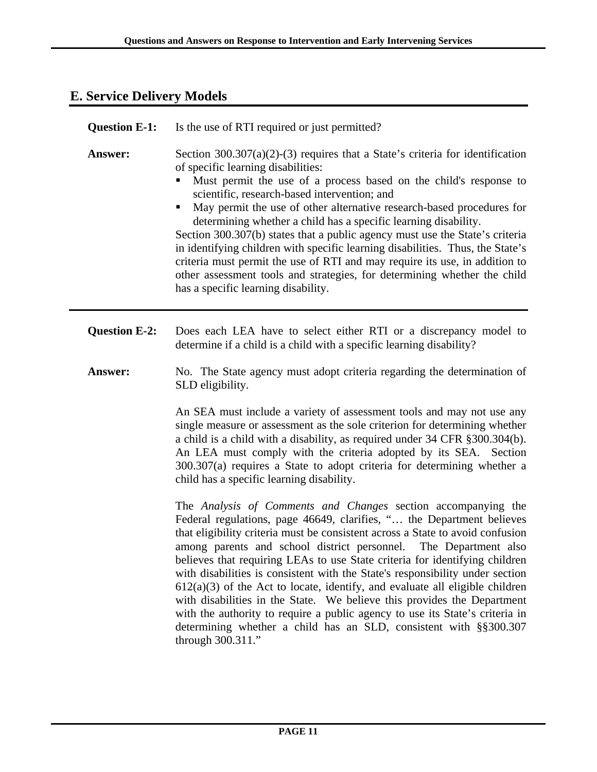#### **E. Service Delivery Models**

| <b>Question E-1:</b> | Is the use of RTI required or just permitted?                                                                                                                                                                                                                                                                                                                                                                                                                                                                                                                                                                                                                                                                                                              |
|----------------------|------------------------------------------------------------------------------------------------------------------------------------------------------------------------------------------------------------------------------------------------------------------------------------------------------------------------------------------------------------------------------------------------------------------------------------------------------------------------------------------------------------------------------------------------------------------------------------------------------------------------------------------------------------------------------------------------------------------------------------------------------------|
| Answer:              | Section $300.307(a)(2)-(3)$ requires that a State's criteria for identification<br>of specific learning disabilities:<br>Must permit the use of a process based on the child's response to<br>scientific, research-based intervention; and<br>May permit the use of other alternative research-based procedures for<br>determining whether a child has a specific learning disability.<br>Section 300.307(b) states that a public agency must use the State's criteria<br>in identifying children with specific learning disabilities. Thus, the State's<br>criteria must permit the use of RTI and may require its use, in addition to<br>other assessment tools and strategies, for determining whether the child<br>has a specific learning disability. |
| <b>Question E-2:</b> | Does each LEA have to select either RTI or a discrepancy model to<br>determine if a child is a child with a specific learning disability?                                                                                                                                                                                                                                                                                                                                                                                                                                                                                                                                                                                                                  |
| Answer:              | No. The State agency must adopt criteria regarding the determination of<br>SLD eligibility.                                                                                                                                                                                                                                                                                                                                                                                                                                                                                                                                                                                                                                                                |
|                      | An SEA must include a variety of assessment tools and may not use any<br>single measure or assessment as the sole criterion for determining whether<br>a child is a child with a disability, as required under 34 CFR § 300.304(b).<br>An LEA must comply with the criteria adopted by its SEA. Section<br>300.307(a) requires a State to adopt criteria for determining whether a                                                                                                                                                                                                                                                                                                                                                                         |

child has a specific learning disability.

The *Analysis of Comments and Changes* section accompanying the Federal regulations, page 46649, clarifies, "… the Department believes that eligibility criteria must be consistent across a State to avoid confusion among parents and school district personnel. The Department also believes that requiring LEAs to use State criteria for identifying children with disabilities is consistent with the State's responsibility under section  $612(a)(3)$  of the Act to locate, identify, and evaluate all eligible children with disabilities in the State. We believe this provides the Department with the authority to require a public agency to use its State's criteria in determining whether a child has an SLD, consistent with §§300.307 through 300.311."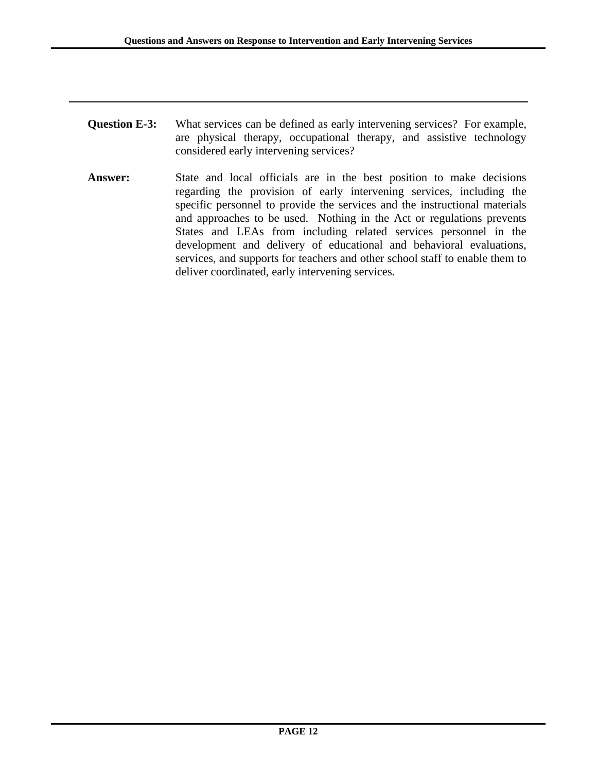- **Question E-3:** What services can be defined as early intervening services? For example, are physical therapy, occupational therapy, and assistive technology considered early intervening services?
- **Answer:** State and local officials are in the best position to make decisions regarding the provision of early intervening services, including the specific personnel to provide the services and the instructional materials and approaches to be used. Nothing in the Act or regulations prevents States and LEAs from including related services personnel in the development and delivery of educational and behavioral evaluations, services, and supports for teachers and other school staff to enable them to deliver coordinated, early intervening services*.*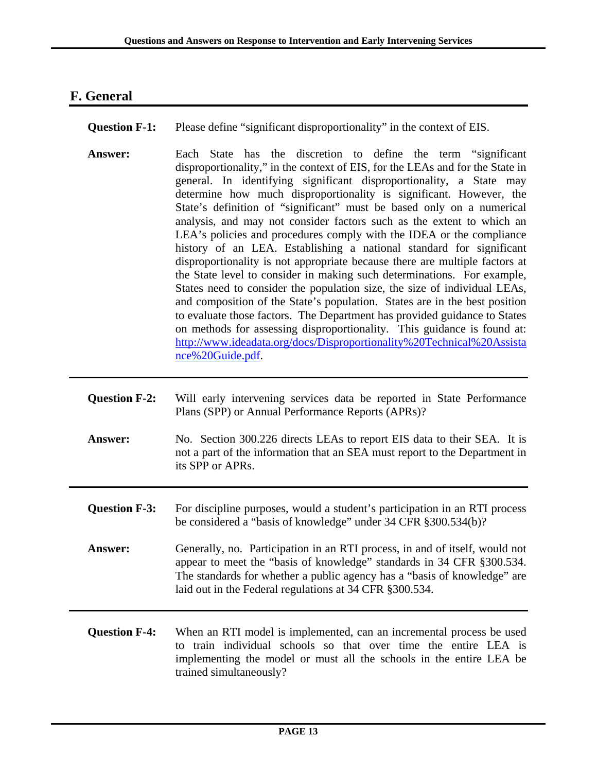## **F. General**

- **Question F-1:** Please define "significant disproportionality" in the context of EIS.
- **Answer:** Each State has the discretion to define the term "significant disproportionality," in the context of EIS, for the LEAs and for the State in general. In identifying significant disproportionality, a State may determine how much disproportionality is significant. However, the State's definition of "significant" must be based only on a numerical analysis, and may not consider factors such as the extent to which an LEA's policies and procedures comply with the IDEA or the compliance history of an LEA. Establishing a national standard for significant disproportionality is not appropriate because there are multiple factors at the State level to consider in making such determinations. For example, States need to consider the population size, the size of individual LEAs, and composition of the State's population. States are in the best position to evaluate those factors. The Department has provided guidance to States on methods for assessing disproportionality. This guidance is found at: [http://www.ideadata.org/docs/Disproportionality%20Technical%20Assista](http://www.ideadata.org/docs/Disproportionality%20Technical%20Assistance%20Guide.pdf) [nce%20Guide.pdf.](http://www.ideadata.org/docs/Disproportionality%20Technical%20Assistance%20Guide.pdf)
- **Question F-2:** Will early intervening services data be reported in State Performance Plans (SPP) or Annual Performance Reports (APRs)?
- **Answer:** No. Section 300.226 directs LEAs to report EIS data to their SEA. It is not a part of the information that an SEA must report to the Department in its SPP or APRs.
- **Question F-3:** For discipline purposes, would a student's participation in an RTI process be considered a "basis of knowledge" under 34 CFR §300.534(b)?
- **Answer:** Generally, no. Participation in an RTI process, in and of itself, would not appear to meet the "basis of knowledge" standards in 34 CFR §300.534. The standards for whether a public agency has a "basis of knowledge" are laid out in the Federal regulations at 34 CFR §300.534.
- **Question F-4:** When an RTI model is implemented, can an incremental process be used to train individual schools so that over time the entire LEA is implementing the model or must all the schools in the entire LEA be trained simultaneously?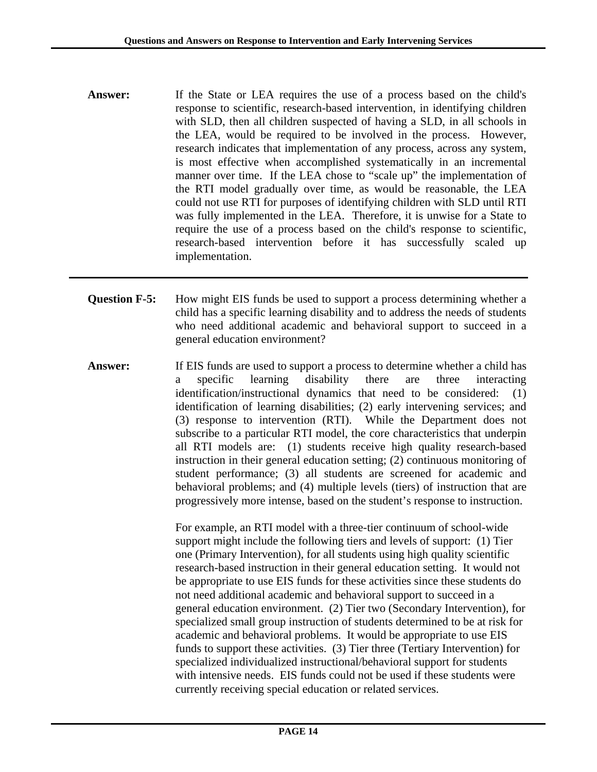- **Answer:** If the State or LEA requires the use of a process based on the child's response to scientific, research-based intervention, in identifying children with SLD, then all children suspected of having a SLD, in all schools in the LEA, would be required to be involved in the process. However, research indicates that implementation of any process, across any system, is most effective when accomplished systematically in an incremental manner over time. If the LEA chose to "scale up" the implementation of the RTI model gradually over time, as would be reasonable, the LEA could not use RTI for purposes of identifying children with SLD until RTI was fully implemented in the LEA. Therefore, it is unwise for a State to require the use of a process based on the child's response to scientific, research-based intervention before it has successfully scaled up implementation.
- **Question F-5:** How might EIS funds be used to support a process determining whether a child has a specific learning disability and to address the needs of students who need additional academic and behavioral support to succeed in a general education environment?
- **Answer:** If EIS funds are used to support a process to determine whether a child has a specific learning disability there are three interacting identification/instructional dynamics that need to be considered: (1) identification of learning disabilities; (2) early intervening services; and (3) response to intervention (RTI). While the Department does not subscribe to a particular RTI model, the core characteristics that underpin all RTI models are: (1) students receive high quality research-based instruction in their general education setting; (2) continuous monitoring of student performance; (3) all students are screened for academic and behavioral problems; and (4) multiple levels (tiers) of instruction that are progressively more intense, based on the student's response to instruction.

For example, an RTI model with a three-tier continuum of school-wide support might include the following tiers and levels of support: (1) Tier one (Primary Intervention), for all students using high quality scientific research-based instruction in their general education setting. It would not be appropriate to use EIS funds for these activities since these students do not need additional academic and behavioral support to succeed in a general education environment. (2) Tier two (Secondary Intervention), for specialized small group instruction of students determined to be at risk for academic and behavioral problems. It would be appropriate to use EIS funds to support these activities. (3) Tier three (Tertiary Intervention) for specialized individualized instructional/behavioral support for students with intensive needs. EIS funds could not be used if these students were currently receiving special education or related services.